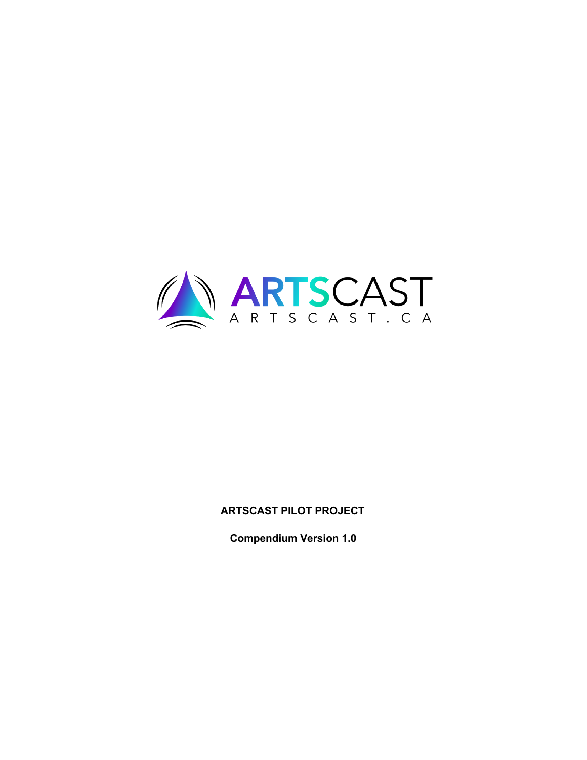

# **ARTSCAST PILOT PROJECT**

**Compendium Version 1.0**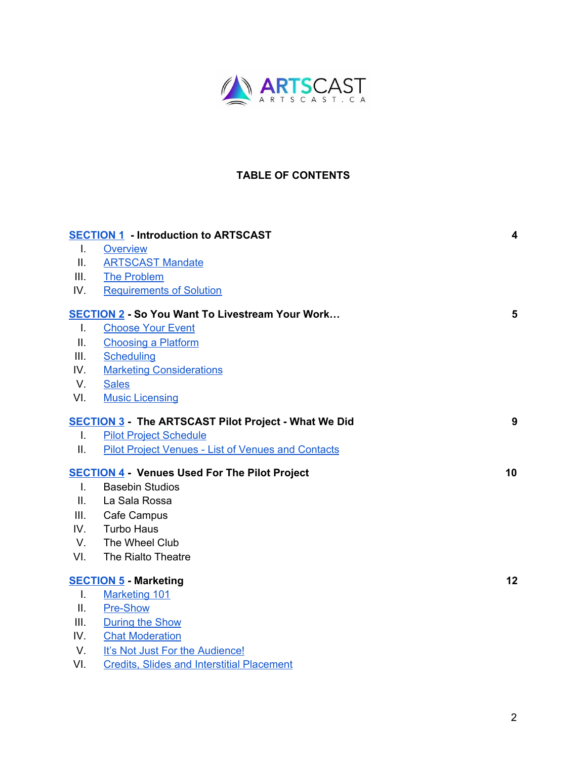

# **TABLE OF CONTENTS**

|                | <b>SECTION 1 - Introduction to ARTSCAST</b>                 | 4  |
|----------------|-------------------------------------------------------------|----|
| $\mathbf{I}$ . | <b>Overview</b>                                             |    |
| Ш.             | <b>ARTSCAST Mandate</b>                                     |    |
| III.           | <b>The Problem</b>                                          |    |
| IV.            | <b>Requirements of Solution</b>                             |    |
|                | <b>SECTION 2 - So You Want To Livestream Your Work</b>      | 5  |
| $\mathbf{I}$ . | <b>Choose Your Event</b>                                    |    |
| Ш.             | <b>Choosing a Platform</b>                                  |    |
| III.           | <b>Scheduling</b>                                           |    |
| IV.            | <b>Marketing Considerations</b>                             |    |
| V.             | <b>Sales</b>                                                |    |
| VI.            | <b>Music Licensing</b>                                      |    |
|                | <b>SECTION 3 - The ARTSCAST Pilot Project - What We Did</b> | 9  |
| L.             | <b>Pilot Project Schedule</b>                               |    |
| П.             | <b>Pilot Project Venues - List of Venues and Contacts</b>   |    |
|                | <b>SECTION 4 - Venues Used For The Pilot Project</b>        | 10 |
| $\mathbf{L}$   | <b>Basebin Studios</b>                                      |    |
| ΙΙ.            | La Sala Rossa                                               |    |
| III.           | Cafe Campus                                                 |    |
| IV.            | <b>Turbo Haus</b>                                           |    |
| V.             | The Wheel Club                                              |    |
| VI.            | The Rialto Theatre                                          |    |
|                | <b>SECTION 5 - Marketing</b>                                | 12 |
| Τ.             | <b>Marketing 101</b>                                        |    |
| Ш.             | <b>Pre-Show</b>                                             |    |
| III.           | <b>During the Show</b>                                      |    |
| IV.            | <b>Chat Moderation</b>                                      |    |
| V.             | It's Not Just For the Audience!                             |    |
| VI.            | <b>Credits, Slides and Interstitial Placement</b>           |    |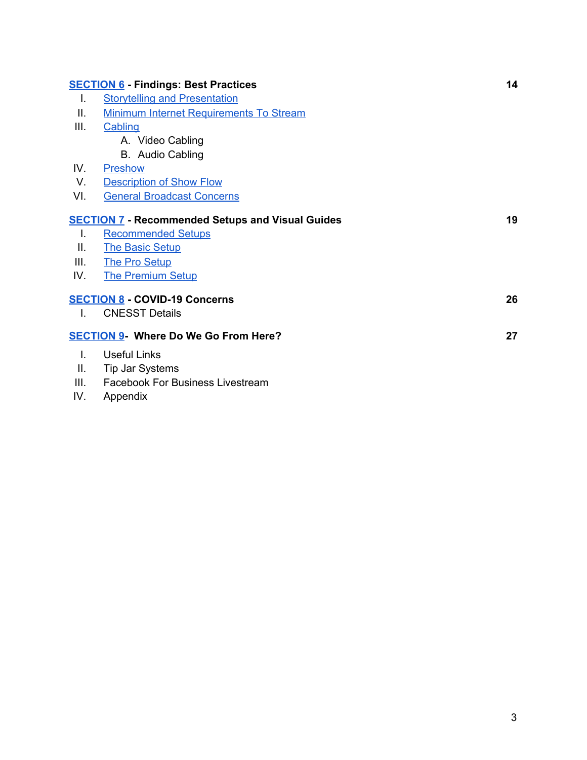|              | <b>SECTION 6 - Findings: Best Practices</b>             | 14 |
|--------------|---------------------------------------------------------|----|
| Ι.           | <b>Storytelling and Presentation</b>                    |    |
| Ш.           | <b>Minimum Internet Requirements To Stream</b>          |    |
| III.         | Cabling                                                 |    |
|              | A. Video Cabling                                        |    |
|              | B. Audio Cabling                                        |    |
| IV.          | Preshow                                                 |    |
| V.           | <b>Description of Show Flow</b>                         |    |
| VI.          | <b>General Broadcast Concerns</b>                       |    |
|              | <b>SECTION 7 - Recommended Setups and Visual Guides</b> | 19 |
| Ι.           | <b>Recommended Setups</b>                               |    |
| Ш.           | <b>The Basic Setup</b>                                  |    |
| III.         | <b>The Pro Setup</b>                                    |    |
| IV.          | <b>The Premium Setup</b>                                |    |
|              | <b>SECTION 8 - COVID-19 Concerns</b>                    | 26 |
| T.           | <b>CNESST Details</b>                                   |    |
|              | <b>SECTION 9- Where Do We Go From Here?</b>             | 27 |
| $\mathbf{L}$ | <b>Useful Links</b>                                     |    |
| Ш.           | Tip Jar Systems                                         |    |
| III.         | <b>Facebook For Business Livestream</b>                 |    |
|              |                                                         |    |

IV. Appendix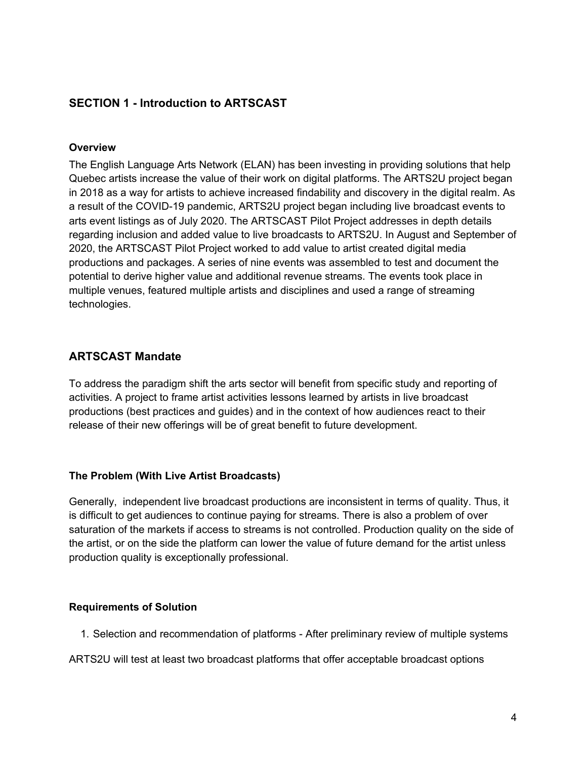# <span id="page-3-0"></span>**SECTION 1 - Introduction to ARTSCAST**

#### <span id="page-3-1"></span>**Overview**

The English Language Arts Network (ELAN) has been investing in providing solutions that help Quebec artists increase the value of their work on digital platforms. The ARTS2U project began in 2018 as a way for artists to achieve increased findability and discovery in the digital realm. As a result of the COVID-19 pandemic, ARTS2U project began including live broadcast events to arts event listings as of July 2020. The ARTSCAST Pilot Project addresses in depth details regarding inclusion and added value to live broadcasts to ARTS2U. In August and September of 2020, the ARTSCAST Pilot Project worked to add value to artist created digital media productions and packages. A series of nine events was assembled to test and document the potential to derive higher value and additional revenue streams. The events took place in multiple venues, featured multiple artists and disciplines and used a range of streaming technologies.

# <span id="page-3-2"></span>**ARTSCAST Mandate**

To address the paradigm shift the arts sector will benefit from specific study and reporting of activities. A project to frame artist activities lessons learned by artists in live broadcast productions (best practices and guides) and in the context of how audiences react to their release of their new offerings will be of great benefit to future development.

#### <span id="page-3-3"></span>**The Problem (With Live Artist Broadcasts)**

Generally, independent live broadcast productions are inconsistent in terms of quality. Thus, it is difficult to get audiences to continue paying for streams. There is also a problem of over saturation of the markets if access to streams is not controlled. Production quality on the side of the artist, or on the side the platform can lower the value of future demand for the artist unless production quality is exceptionally professional.

#### <span id="page-3-4"></span>**Requirements of Solution**

- 1. Selection and recommendation of platforms After preliminary review of multiple systems
- ARTS2U will test at least two broadcast platforms that offer acceptable broadcast options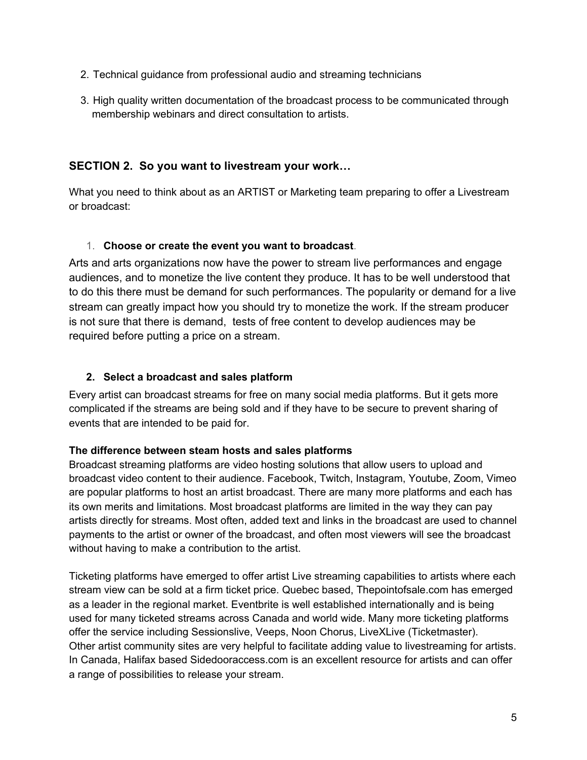- 2. Technical guidance from professional audio and streaming technicians
- 3. High quality written documentation of the broadcast process to be communicated through membership webinars and direct consultation to artists.

# <span id="page-4-0"></span>**SECTION 2. So you want to livestream your work…**

What you need to think about as an ARTIST or Marketing team preparing to offer a Livestream or broadcast:

### <span id="page-4-1"></span>1. **Choose or create the event you want to broadcast**.

Arts and arts organizations now have the power to stream live performances and engage audiences, and to monetize the live content they produce. It has to be well understood that to do this there must be demand for such performances. The popularity or demand for a live stream can greatly impact how you should try to monetize the work. If the stream producer is not sure that there is demand, tests of free content to develop audiences may be required before putting a price on a stream.

### <span id="page-4-2"></span>**2. Select a broadcast and sales platform**

Every artist can broadcast streams for free on many social media platforms. But it gets more complicated if the streams are being sold and if they have to be secure to prevent sharing of events that are intended to be paid for.

#### **The difference between steam hosts and sales platforms**

Broadcast [streaming](https://www.dacast.com/why-dacast-to-broadcast-live/) platforms are video hosting solutions that allow users to upload and broadcast video content to their audience. Facebook, Twitch, Instagram, Youtube, Zoom, Vimeo are popular platforms to host an artist broadcast. There are many more platforms and each has its own merits and limitations. Most broadcast platforms are limited in the way they can pay artists directly for streams. Most often, added text and links in the broadcast are used to channel payments to the artist or owner of the broadcast, and often most viewers will see the broadcast without having to make a contribution to the artist.

Ticketing platforms have emerged to offer artist Live streaming capabilities to artists where each stream view can be sold at a firm ticket price. Quebec based, Thepointofsale.com has emerged as a leader in the regional market. Eventbrite is well established internationally and is being used for many ticketed streams across Canada and world wide. Many more ticketing platforms offer the service including Sessionslive, Veeps, Noon Chorus, LiveXLive (Ticketmaster). Other artist community sites are very helpful to facilitate adding value to livestreaming for artists. In Canada, Halifax based Sidedooraccess.com is an excellent resource for artists and can offer a range of possibilities to release your stream.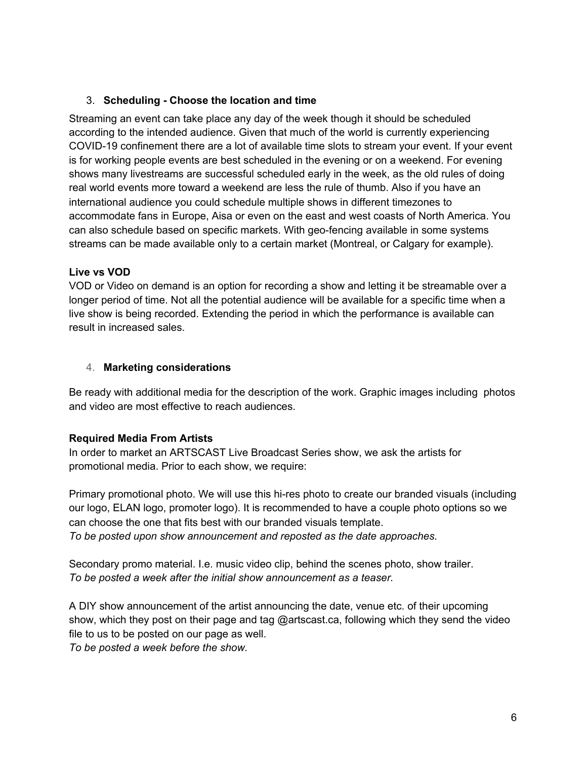# <span id="page-5-0"></span>3. **Scheduling - Choose the location and time**

Streaming an event can take place any day of the week though it should be scheduled according to the intended audience. Given that much of the world is currently experiencing COVID-19 confinement there are a lot of available time slots to stream your event. If your event is for working people events are best scheduled in the evening or on a weekend. For evening shows many livestreams are successful scheduled early in the week, as the old rules of doing real world events more toward a weekend are less the rule of thumb. Also if you have an international audience you could schedule multiple shows in different timezones to accommodate fans in Europe, Aisa or even on the east and west coasts of North America. You can also schedule based on specific markets. With geo-fencing available in some systems streams can be made available only to a certain market (Montreal, or Calgary for example).

#### **Live vs VOD**

VOD or Video on demand is an option for recording a show and letting it be streamable over a longer period of time. Not all the potential audience will be available for a specific time when a live show is being recorded. Extending the period in which the performance is available can result in increased sales.

#### <span id="page-5-1"></span>4. **Marketing considerations**

Be ready with additional media for the description of the work. Graphic images including photos and video are most effective to reach audiences.

# **Required Media From Artists**

In order to market an ARTSCAST Live Broadcast Series show, we ask the artists for promotional media. Prior to each show, we require:

Primary promotional photo. We will use this hi-res photo to create our branded visuals (including our logo, ELAN logo, promoter logo). It is recommended to have a couple photo options so we can choose the one that fits best with our branded visuals template. *To be posted upon show announcement and reposted as the date approaches.*

Secondary promo material. I.e. music video clip, behind the scenes photo, show trailer. *To be posted a week after the initial show announcement as a teaser.*

A DIY show announcement of the artist announcing the date, venue etc. of their upcoming show, which they post on their page and tag @artscast.ca, following which they send the video file to us to be posted on our page as well.

*To be posted a week before the show.*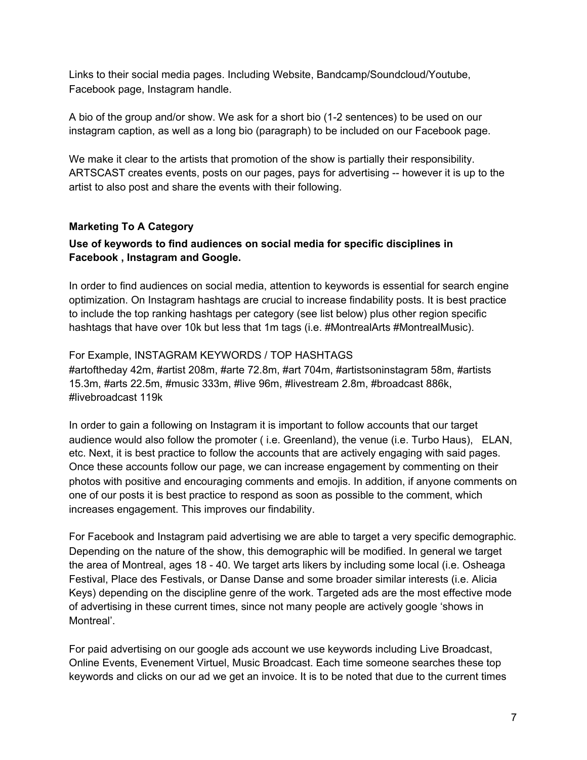Links to their social media pages. Including Website, Bandcamp/Soundcloud/Youtube, Facebook page, Instagram handle.

A bio of the group and/or show. We ask for a short bio (1-2 sentences) to be used on our instagram caption, as well as a long bio (paragraph) to be included on our Facebook page.

We make it clear to the artists that promotion of the show is partially their responsibility. ARTSCAST creates events, posts on our pages, pays for advertising -- however it is up to the artist to also post and share the events with their following.

### **Marketing To A Category**

### **Use of keywords to find audiences on social media for specific disciplines in Facebook , Instagram and Google.**

In order to find audiences on social media, attention to keywords is essential for search engine optimization. On Instagram hashtags are crucial to increase findability posts. It is best practice to include the top ranking hashtags per category (see list below) plus other region specific hashtags that have over 10k but less that 1m tags (i.e. #MontrealArts #MontrealMusic).

### For Example, INSTAGRAM KEYWORDS / TOP HASHTAGS

#artoftheday 42m, #artist 208m, #arte 72.8m, #art 704m, #artistsoninstagram 58m, #artists 15.3m, #arts 22.5m, #music 333m, #live 96m, #livestream 2.8m, #broadcast 886k, #livebroadcast 119k

In order to gain a following on Instagram it is important to follow accounts that our target audience would also follow the promoter ( i.e. Greenland), the venue (i.e. Turbo Haus), ELAN, etc. Next, it is best practice to follow the accounts that are actively engaging with said pages. Once these accounts follow our page, we can increase engagement by commenting on their photos with positive and encouraging comments and emojis. In addition, if anyone comments on one of our posts it is best practice to respond as soon as possible to the comment, which increases engagement. This improves our findability.

For Facebook and Instagram paid advertising we are able to target a very specific demographic. Depending on the nature of the show, this demographic will be modified. In general we target the area of Montreal, ages 18 - 40. We target arts likers by including some local (i.e. Osheaga Festival, Place des Festivals, or Danse Danse and some broader similar interests (i.e. Alicia Keys) depending on the discipline genre of the work. Targeted ads are the most effective mode of advertising in these current times, since not many people are actively google 'shows in Montreal'.

For paid advertising on our google ads account we use keywords including Live Broadcast, Online Events, Evenement Virtuel, Music Broadcast. Each time someone searches these top keywords and clicks on our ad we get an invoice. It is to be noted that due to the current times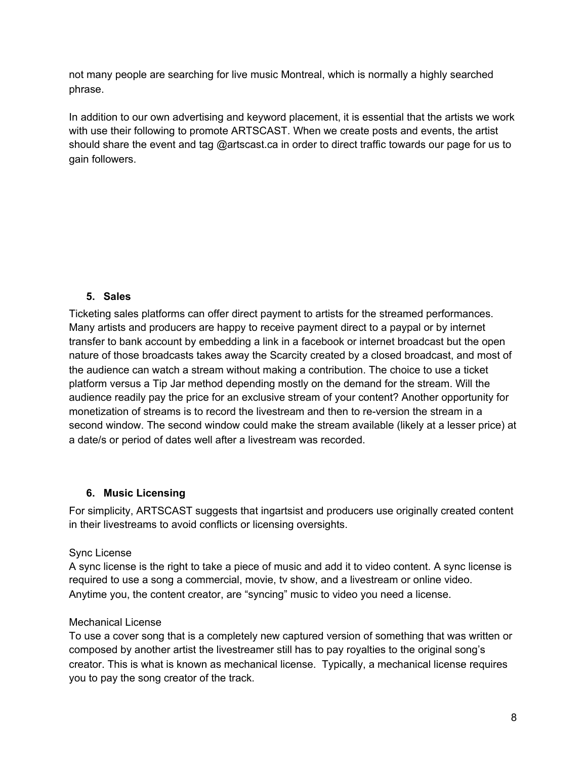not many people are searching for live music Montreal, which is normally a highly searched phrase.

In addition to our own advertising and keyword placement, it is essential that the artists we work with use their following to promote ARTSCAST. When we create posts and events, the artist should share the event and tag @artscast.ca in order to direct traffic towards our page for us to gain followers.

# <span id="page-7-0"></span>**5. Sales**

Ticketing sales platforms can offer direct payment to artists for the streamed performances. Many artists and producers are happy to receive payment direct to a paypal or by internet transfer to bank account by embedding a link in a facebook or internet broadcast but the open nature of those broadcasts takes away the Scarcity created by a closed broadcast, and most of the audience can watch a stream without making a contribution. The choice to use a ticket platform versus a Tip Jar method depending mostly on the demand for the stream. Will the audience readily pay the price for an exclusive stream of your content? Another opportunity for monetization of streams is to record the livestream and then to re-version the stream in a second window. The second window could make the stream available (likely at a lesser price) at a date/s or period of dates well after a livestream was recorded.

#### <span id="page-7-1"></span>**6. Music Licensing**

For simplicity, ARTSCAST suggests that ingartsist and producers use originally created content in their livestreams to avoid conflicts or licensing oversights.

#### Sync License

A sync license is the right to take a piece of music and add it to video content. A sync license is required to use a song a commercial, movie, tv show, and a livestream or online video. Anytime you, the content creator, are "syncing" music to video you need a license.

#### Mechanical License

To use a cover song that is a completely new captured version of something that was written or composed by another artist the livestreamer still has to pay royalties to the original song's creator. This is what is known as mechanical license. Typically, a mechanical license requires you to pay the song creator of the track.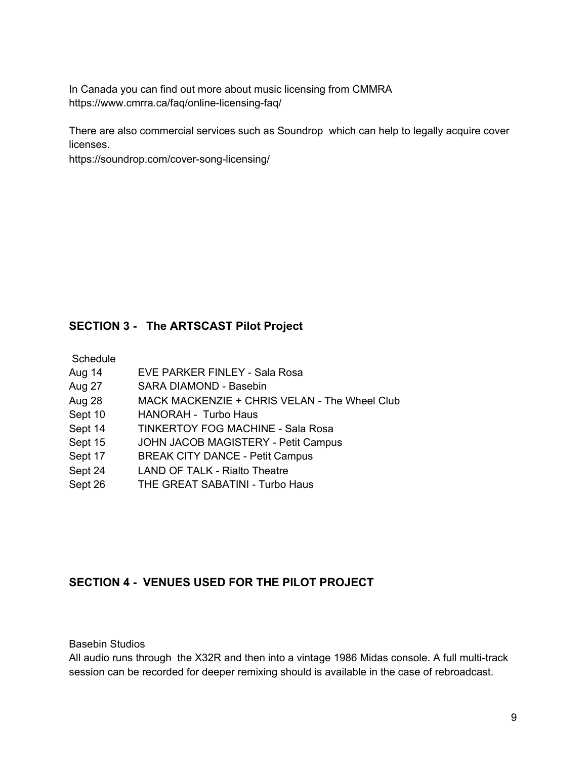In Canada you can find out more about music licensing from CMMRA https://www.cmrra.ca/faq/online-licensing-faq/

There are also commercial services such as Soundrop which can help to legally acquire cover licenses.

https://soundrop.com/cover-song-licensing/

# <span id="page-8-0"></span>**SECTION 3 - The ARTSCAST Pilot Project**

**Schedule** 

- Aug 14 EVE PARKER FINLEY Sala Rosa
- Aug 27 SARA DIAMOND Basebin
- Aug 28 MACK MACKENZIE + CHRIS VELAN The Wheel Club
- Sept 10 HANORAH Turbo Haus
- Sept 14 TINKERTOY FOG MACHINE Sala Rosa
- Sept 15 JOHN JACOB MAGISTERY Petit Campus
- Sept 17 BREAK CITY DANCE Petit Campus
- Sept 24 LAND OF TALK Rialto Theatre
- Sept 26 THE GREAT SABATINI Turbo Haus

# <span id="page-8-1"></span>**SECTION 4 - VENUES USED FOR THE PILOT PROJECT**

Basebin Studios

All audio runs through the X32R and then into a vintage 1986 Midas console. A full multi-track session can be recorded for deeper remixing should is available in the case of rebroadcast.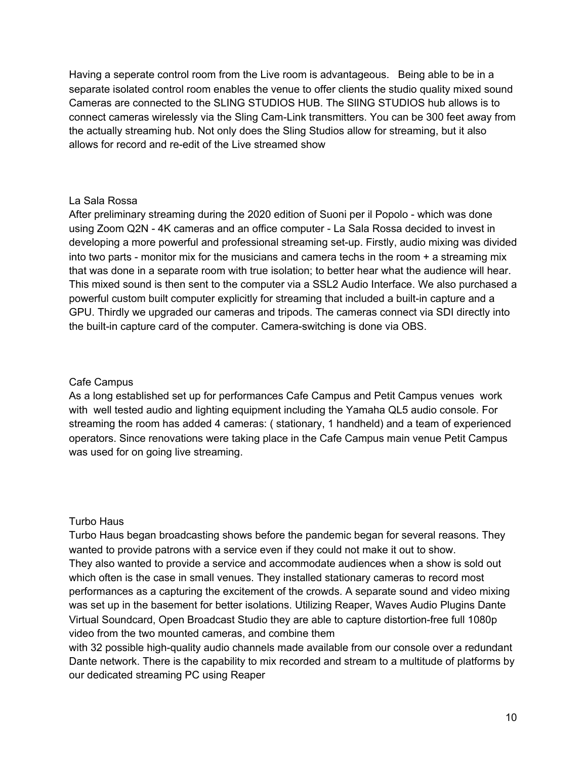Having a seperate control room from the Live room is advantageous. Being able to be in a separate isolated control room enables the venue to offer clients the studio quality mixed sound Cameras are connected to the SLING STUDIOS HUB. The SlING STUDIOS hub allows is to connect cameras wirelessly via the Sling Cam-Link transmitters. You can be 300 feet away from the actually streaming hub. Not only does the Sling Studios allow for streaming, but it also allows for record and re-edit of the Live streamed show

#### La Sala Rossa

After preliminary streaming during the 2020 edition of Suoni per il Popolo - which was done using Zoom Q2N - 4K cameras and an office computer - La Sala Rossa decided to invest in developing a more powerful and professional streaming set-up. Firstly, audio mixing was divided into two parts - monitor mix for the musicians and camera techs in the room + a streaming mix that was done in a separate room with true isolation; to better hear what the audience will hear. This mixed sound is then sent to the computer via a SSL2 Audio Interface. We also purchased a powerful custom built computer explicitly for streaming that included a built-in capture and a GPU. Thirdly we upgraded our cameras and tripods. The cameras connect via SDI directly into the built-in capture card of the computer. Camera-switching is done via OBS.

#### Cafe Campus

As a long established set up for performances Cafe Campus and Petit Campus venues work with well tested audio and lighting equipment including the Yamaha QL5 audio console. For streaming the room has added 4 cameras: ( stationary, 1 handheld) and a team of experienced operators. Since renovations were taking place in the Cafe Campus main venue Petit Campus was used for on going live streaming.

#### Turbo Haus

Turbo Haus began broadcasting shows before the pandemic began for several reasons. They wanted to provide patrons with a service even if they could not make it out to show. They also wanted to provide a service and accommodate audiences when a show is sold out which often is the case in small venues. They installed stationary cameras to record most performances as a capturing the excitement of the crowds. A separate sound and video mixing was set up in the basement for better isolations. Utilizing Reaper, Waves Audio Plugins Dante Virtual Soundcard, Open Broadcast Studio they are able to capture distortion-free full 1080p video from the two mounted cameras, and combine them

with 32 possible high-quality audio channels made available from our console over a redundant Dante network. There is the capability to mix recorded and stream to a multitude of platforms by our dedicated streaming PC using Reaper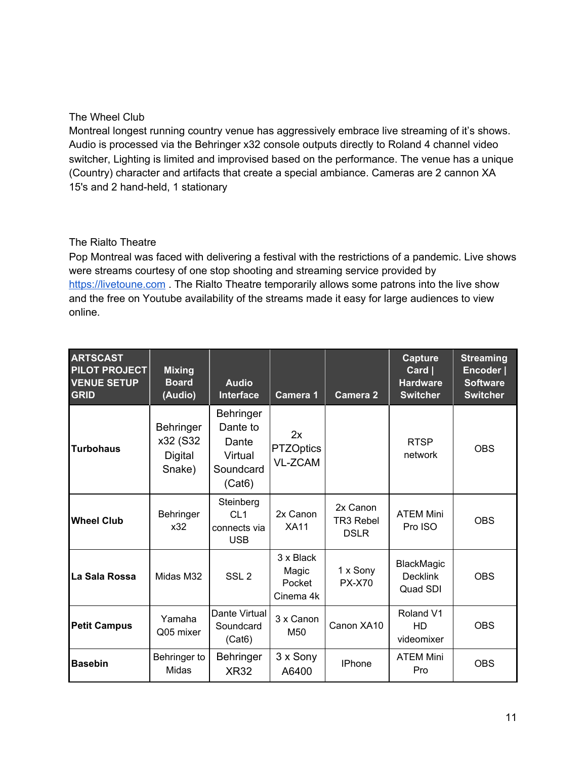### The Wheel Club

Montreal longest running country venue has aggressively embrace live streaming of it's shows. Audio is processed via the Behringer x32 console outputs directly to Roland 4 channel video switcher, Lighting is limited and improvised based on the performance. The venue has a unique (Country) character and artifacts that create a special ambiance. Cameras are 2 cannon XA 15's and 2 hand-held, 1 stationary

#### The Rialto Theatre

Pop Montreal was faced with delivering a festival with the restrictions of a pandemic. Live shows were streams courtesy of one stop shooting and streaming service provided by [https://livetoune.com](https://livetoune.com/) . The Rialto Theatre temporarily allows some patrons into the live show and the free on Youtube availability of the streams made it easy for large audiences to view online.

| <b>ARTSCAST</b><br>PILOT PROJECT<br><b>VENUE SETUP</b><br><b>GRID</b> | <b>Mixing</b><br><b>Board</b><br>(Audio)           | <b>Audio</b><br><b>Interface</b>                                        | Camera 1                                  | <b>Camera 2</b>                             | <b>Capture</b><br>$Card \mid$<br><b>Hardware</b><br><b>Switcher</b> | <b>Streaming</b><br>Encoder  <br><b>Software</b><br><b>Switcher</b> |
|-----------------------------------------------------------------------|----------------------------------------------------|-------------------------------------------------------------------------|-------------------------------------------|---------------------------------------------|---------------------------------------------------------------------|---------------------------------------------------------------------|
| <b>Turbohaus</b>                                                      | <b>Behringer</b><br>x32 (S32)<br>Digital<br>Snake) | <b>Behringer</b><br>Dante to<br>Dante<br>Virtual<br>Soundcard<br>(Cat6) | 2x<br><b>PTZOptics</b><br><b>VL-ZCAM</b>  |                                             | <b>RTSP</b><br>network                                              | <b>OBS</b>                                                          |
| <b>Wheel Club</b>                                                     | Behringer<br>x32                                   | Steinberg<br>CL1<br>connects via<br><b>USB</b>                          | 2x Canon<br><b>XA11</b>                   | 2x Canon<br><b>TR3 Rebel</b><br><b>DSLR</b> | <b>ATEM Mini</b><br>Pro ISO                                         | <b>OBS</b>                                                          |
| La Sala Rossa                                                         | Midas M32                                          | SSL <sub>2</sub>                                                        | 3 x Black<br>Magic<br>Pocket<br>Cinema 4k | 1 x Sony<br><b>PX-X70</b>                   | <b>BlackMagic</b><br><b>Decklink</b><br>Quad SDI                    | <b>OBS</b>                                                          |
| <b>Petit Campus</b>                                                   | Yamaha<br>Q05 mixer                                | Dante Virtual<br>Soundcard<br>(Cat6)                                    | 3 x Canon<br>M50                          | Canon XA10                                  | Roland V1<br>HD<br>videomixer                                       | <b>OBS</b>                                                          |
| <b>Basebin</b>                                                        | Behringer to<br>Midas                              | Behringer<br><b>XR32</b>                                                | 3 x Sony<br>A6400                         | <b>IPhone</b>                               | <b>ATEM Mini</b><br>Pro                                             | <b>OBS</b>                                                          |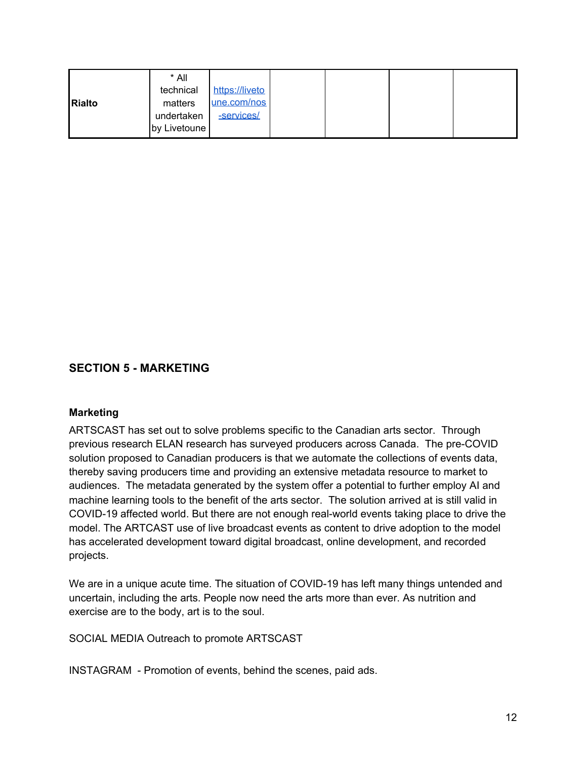|        | * All        |                |  |  |
|--------|--------------|----------------|--|--|
|        | technical    | https://liveto |  |  |
| Rialto | matters      | une.com/nos    |  |  |
|        | undertaken   | -services/     |  |  |
|        | by Livetoune |                |  |  |

# <span id="page-11-0"></span>**SECTION 5 - MARKETING**

#### <span id="page-11-1"></span>**Marketing**

ARTSCAST has set out to solve problems specific to the Canadian arts sector. Through previous research ELAN research has surveyed producers across Canada. The pre-COVID solution proposed to Canadian producers is that we automate the collections of events data, thereby saving producers time and providing an extensive metadata resource to market to audiences. The metadata generated by the system offer a potential to further employ AI and machine learning tools to the benefit of the arts sector. The solution arrived at is still valid in COVID-19 affected world. But there are not enough real-world events taking place to drive the model. The ARTCAST use of live broadcast events as content to drive adoption to the model has accelerated development toward digital broadcast, online development, and recorded projects.

We are in a unique acute time. The situation of COVID-19 has left many things untended and uncertain, including the arts. People now need the arts more than ever. As nutrition and exercise are to the body, art is to the soul.

SOCIAL MEDIA Outreach to promote ARTSCAST

INSTAGRAM - Promotion of events, behind the scenes, paid ads.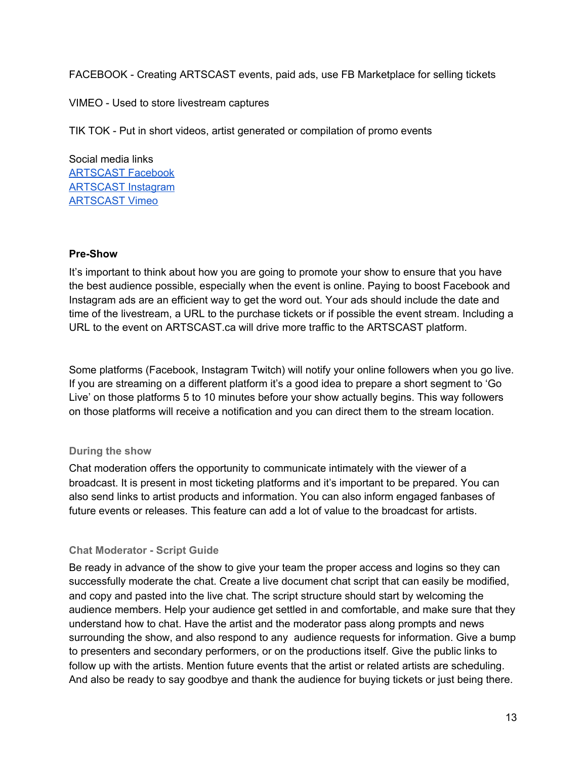FACEBOOK - Creating ARTSCAST events, paid ads, use FB Marketplace for selling tickets

VIMEO - Used to store livestream captures

TIK TOK - Put in short videos, artist generated or compilation of promo events

Social media links [ARTSCAST](https://www.facebook.com/ARTSCASTLiveBroadcastSeries) Facebook [ARTSCAST](https://www.instagram.com/artscast.ca) Instagram [ARTSCAST](https://vimeo.com/473518764) Vimeo

#### <span id="page-12-0"></span>**Pre-Show**

It's important to think about how you are going to promote your show to ensure that you have the best audience possible, especially when the event is online. Paying to boost Facebook and Instagram ads are an efficient way to get the word out. Your ads should include the date and time of the livestream, a URL to the purchase tickets or if possible the event stream. Including a URL to the event on ARTSCAST.ca will drive more traffic to the ARTSCAST platform.

Some platforms (Facebook, Instagram Twitch) will notify your online followers when you go live. If you are streaming on a different platform it's a good idea to prepare a short segment to 'Go Live' on those platforms 5 to 10 minutes before your show actually begins. This way followers on those platforms will receive a notification and you can direct them to the stream location.

# <span id="page-12-1"></span>**During the show**

Chat moderation offers the opportunity to communicate intimately with the viewer of a broadcast. It is present in most ticketing platforms and it's important to be prepared. You can also send links to artist products and information. You can also inform engaged fanbases of future events or releases. This feature can add a lot of value to the broadcast for artists.

# <span id="page-12-2"></span>**Chat Moderator - Script Guide**

Be ready in advance of the show to give your team the proper access and logins so they can successfully moderate the chat. Create a live document chat script that can easily be modified, and copy and pasted into the live chat. The script structure should start by welcoming the audience members. Help your audience get settled in and comfortable, and make sure that they understand how to chat. Have the artist and the moderator pass along prompts and news surrounding the show, and also respond to any audience requests for information. Give a bump to presenters and secondary performers, or on the productions itself. Give the public links to follow up with the artists. Mention future events that the artist or related artists are scheduling. And also be ready to say goodbye and thank the audience for buying tickets or just being there.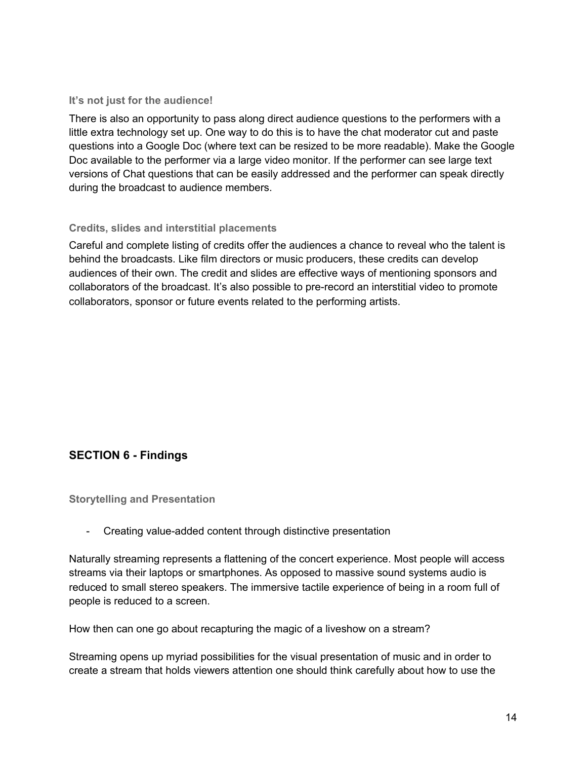#### <span id="page-13-0"></span>**It's not just for the audience!**

There is also an opportunity to pass along direct audience questions to the performers with a little extra technology set up. One way to do this is to have the chat moderator cut and paste questions into a Google Doc (where text can be resized to be more readable). Make the Google Doc available to the performer via a large video monitor. If the performer can see large text versions of Chat questions that can be easily addressed and the performer can speak directly during the broadcast to audience members.

### <span id="page-13-1"></span>**Credits, slides and interstitial placements**

Careful and complete listing of credits offer the audiences a chance to reveal who the talent is behind the broadcasts. Like film directors or music producers, these credits can develop audiences of their own. The credit and slides are effective ways of mentioning sponsors and collaborators of the broadcast. It's also possible to pre-record an interstitial video to promote collaborators, sponsor or future events related to the performing artists.

# <span id="page-13-2"></span>**SECTION 6 - Findings**

<span id="page-13-3"></span>**Storytelling and Presentation**

- Creating value-added content through distinctive presentation

Naturally streaming represents a flattening of the concert experience. Most people will access streams via their laptops or smartphones. As opposed to massive sound systems audio is reduced to small stereo speakers. The immersive tactile experience of being in a room full of people is reduced to a screen.

How then can one go about recapturing the magic of a liveshow on a stream?

Streaming opens up myriad possibilities for the visual presentation of music and in order to create a stream that holds viewers attention one should think carefully about how to use the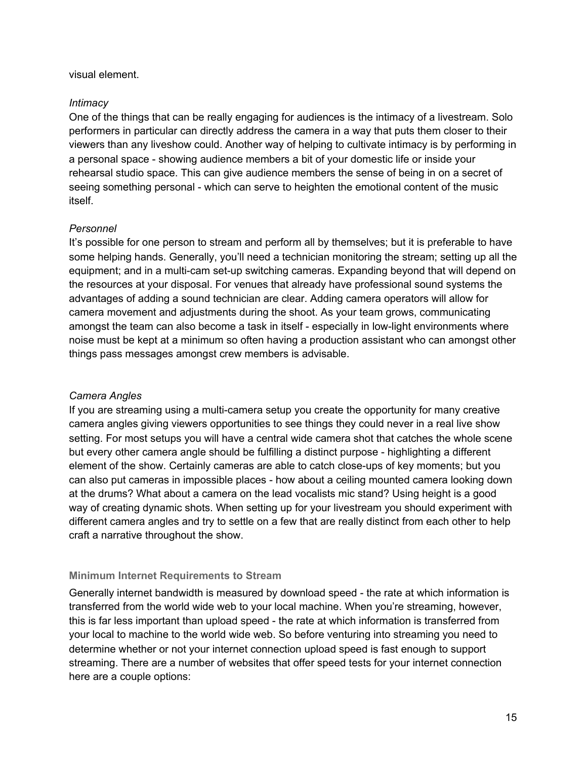#### visual element.

#### *Intimacy*

One of the things that can be really engaging for audiences is the intimacy of a livestream. Solo performers in particular can directly address the camera in a way that puts them closer to their viewers than any liveshow could. Another way of helping to cultivate intimacy is by performing in a personal space - showing audience members a bit of your domestic life or inside your rehearsal studio space. This can give audience members the sense of being in on a secret of seeing something personal - which can serve to heighten the emotional content of the music itself.

#### *Personnel*

It's possible for one person to stream and perform all by themselves; but it is preferable to have some helping hands. Generally, you'll need a technician monitoring the stream; setting up all the equipment; and in a multi-cam set-up switching cameras. Expanding beyond that will depend on the resources at your disposal. For venues that already have professional sound systems the advantages of adding a sound technician are clear. Adding camera operators will allow for camera movement and adjustments during the shoot. As your team grows, communicating amongst the team can also become a task in itself - especially in low-light environments where noise must be kept at a minimum so often having a production assistant who can amongst other things pass messages amongst crew members is advisable.

#### *Camera Angles*

If you are streaming using a multi-camera setup you create the opportunity for many creative camera angles giving viewers opportunities to see things they could never in a real live show setting. For most setups you will have a central wide camera shot that catches the whole scene but every other camera angle should be fulfilling a distinct purpose - highlighting a different element of the show. Certainly cameras are able to catch close-ups of key moments; but you can also put cameras in impossible places - how about a ceiling mounted camera looking down at the drums? What about a camera on the lead vocalists mic stand? Using height is a good way of creating dynamic shots. When setting up for your livestream you should experiment with different camera angles and try to settle on a few that are really distinct from each other to help craft a narrative throughout the show.

#### <span id="page-14-0"></span>**Minimum Internet Requirements to Stream**

Generally internet bandwidth is measured by download speed - the rate at which information is transferred from the world wide web to your local machine. When you're streaming, however, this is far less important than upload speed - the rate at which information is transferred from your local to machine to the world wide web. So before venturing into streaming you need to determine whether or not your internet connection upload speed is fast enough to support streaming. There are a number of websites that offer speed tests for your internet connection here are a couple options: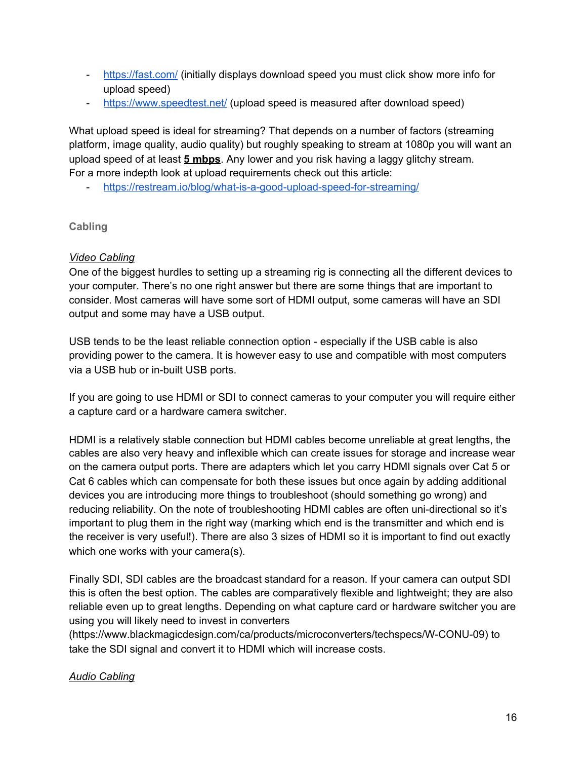- <https://fast.com/> (initially displays download speed you must click show more info for upload speed)
- <https://www.speedtest.net/> (upload speed is measured after download speed)

What upload speed is ideal for streaming? That depends on a number of factors (streaming platform, image quality, audio quality) but roughly speaking to stream at 1080p you will want an upload speed of at least **5 mbps**. Any lower and you risk having a laggy glitchy stream. For a more indepth look at upload requirements check out this article:

- <https://restream.io/blog/what-is-a-good-upload-speed-for-streaming/>

# <span id="page-15-0"></span>**Cabling**

# *Video Cabling*

One of the biggest hurdles to setting up a streaming rig is connecting all the different devices to your computer. There's no one right answer but there are some things that are important to consider. Most cameras will have some sort of HDMI output, some cameras will have an SDI output and some may have a USB output.

USB tends to be the least reliable connection option - especially if the USB cable is also providing power to the camera. It is however easy to use and compatible with most computers via a USB hub or in-built USB ports.

If you are going to use HDMI or SDI to connect cameras to your computer you will require either a capture card or a hardware camera switcher.

HDMI is a relatively stable connection but HDMI cables become unreliable at great lengths, the cables are also very heavy and inflexible which can create issues for storage and increase wear on the camera output ports. There are adapters which let you carry HDMI signals over Cat 5 or Cat 6 cables which can compensate for both these issues but once again by adding additional devices you are introducing more things to troubleshoot (should something go wrong) and reducing reliability. On the note of troubleshooting HDMI cables are often uni-directional so it's important to plug them in the right way (marking which end is the transmitter and which end is the receiver is very useful!). There are also 3 sizes of HDMI so it is important to find out exactly which one works with your camera(s).

Finally SDI, SDI cables are the broadcast standard for a reason. If your camera can output SDI this is often the best option. The cables are comparatively flexible and lightweight; they are also reliable even up to great lengths. Depending on what capture card or hardware switcher you are using you will likely need to invest in converters

(https://www.blackmagicdesign.com/ca/products/microconverters/techspecs/W-CONU-09) to take the SDI signal and convert it to HDMI which will increase costs.

# *Audio Cabling*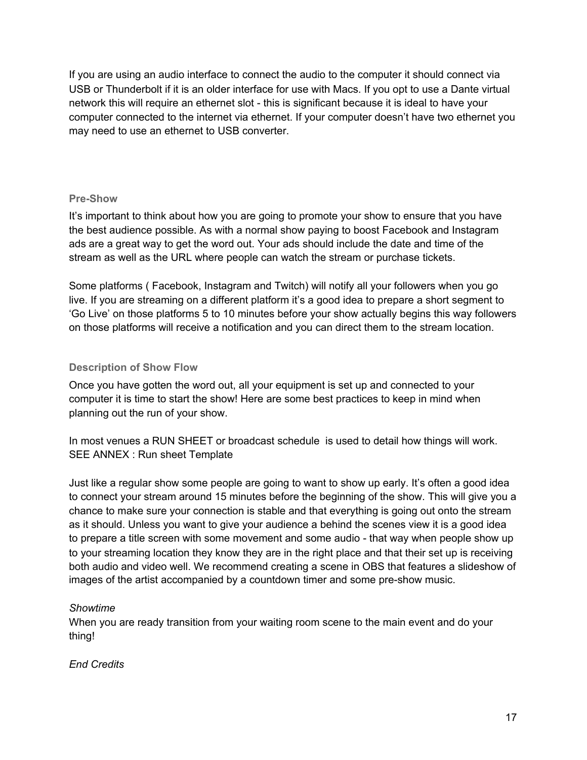If you are using an audio interface to connect the audio to the computer it should connect via USB or Thunderbolt if it is an older interface for use with Macs. If you opt to use a Dante virtual network this will require an ethernet slot - this is significant because it is ideal to have your computer connected to the internet via ethernet. If your computer doesn't have two ethernet you may need to use an ethernet to USB converter.

### <span id="page-16-0"></span>**Pre-Show**

It's important to think about how you are going to promote your show to ensure that you have the best audience possible. As with a normal show paying to boost Facebook and Instagram ads are a great way to get the word out. Your ads should include the date and time of the stream as well as the URL where people can watch the stream or purchase tickets.

Some platforms ( Facebook, Instagram and Twitch) will notify all your followers when you go live. If you are streaming on a different platform it's a good idea to prepare a short segment to 'Go Live' on those platforms 5 to 10 minutes before your show actually begins this way followers on those platforms will receive a notification and you can direct them to the stream location.

# <span id="page-16-1"></span>**Description of Show Flow**

Once you have gotten the word out, all your equipment is set up and connected to your computer it is time to start the show! Here are some best practices to keep in mind when planning out the run of your show.

In most venues a RUN SHEET or broadcast schedule is used to detail how things will work. SEE ANNEX : Run sheet Template

Just like a regular show some people are going to want to show up early. It's often a good idea to connect your stream around 15 minutes before the beginning of the show. This will give you a chance to make sure your connection is stable and that everything is going out onto the stream as it should. Unless you want to give your audience a behind the scenes view it is a good idea to prepare a title screen with some movement and some audio - that way when people show up to your streaming location they know they are in the right place and that their set up is receiving both audio and video well. We recommend creating a scene in OBS that features a slideshow of images of the artist accompanied by a countdown timer and some pre-show music.

#### *Showtime*

When you are ready transition from your waiting room scene to the main event and do your thing!

# *End Credits*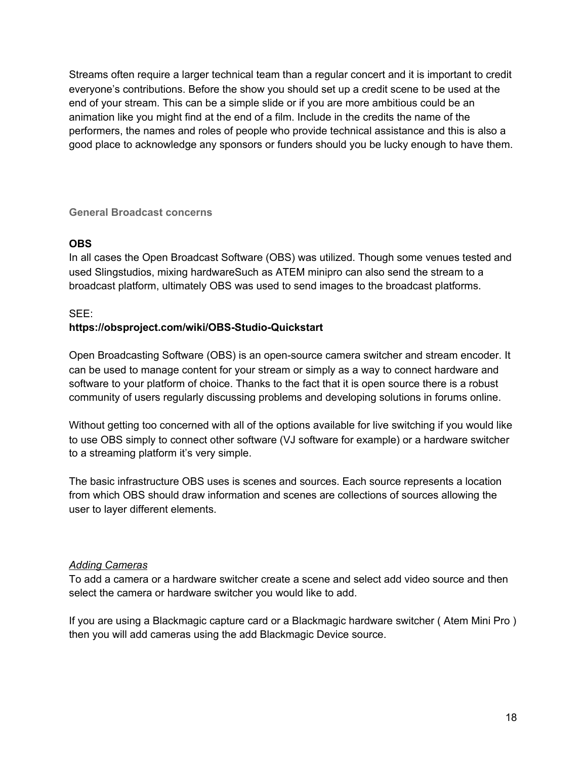Streams often require a larger technical team than a regular concert and it is important to credit everyone's contributions. Before the show you should set up a credit scene to be used at the end of your stream. This can be a simple slide or if you are more ambitious could be an animation like you might find at the end of a film. Include in the credits the name of the performers, the names and roles of people who provide technical assistance and this is also a good place to acknowledge any sponsors or funders should you be lucky enough to have them.

# <span id="page-17-0"></span>**General Broadcast concerns**

# **OBS**

In all cases the Open Broadcast Software (OBS) was utilized. Though some venues tested and used Slingstudios, mixing hardwareSuch as ATEM minipro can also send the stream to a broadcast platform, ultimately OBS was used to send images to the broadcast platforms.

# SEE:

# **https://obsproject.com/wiki/OBS-Studio-Quickstart**

Open Broadcasting Software (OBS) is an open-source camera switcher and stream encoder. It can be used to manage content for your stream or simply as a way to connect hardware and software to your platform of choice. Thanks to the fact that it is open source there is a robust community of users regularly discussing problems and developing solutions in forums online.

Without getting too concerned with all of the options available for live switching if you would like to use OBS simply to connect other software (VJ software for example) or a hardware switcher to a streaming platform it's very simple.

The basic infrastructure OBS uses is scenes and sources. Each source represents a location from which OBS should draw information and scenes are collections of sources allowing the user to layer different elements.

# *Adding Cameras*

To add a camera or a hardware switcher create a scene and select add video source and then select the camera or hardware switcher you would like to add.

If you are using a Blackmagic capture card or a Blackmagic hardware switcher ( Atem Mini Pro ) then you will add cameras using the add Blackmagic Device source.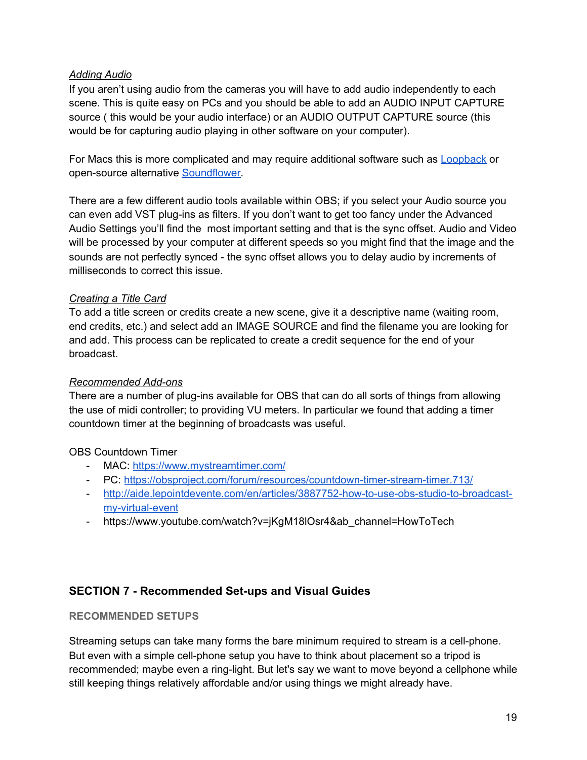# *Adding Audio*

If you aren't using audio from the cameras you will have to add audio independently to each scene. This is quite easy on PCs and you should be able to add an AUDIO INPUT CAPTURE source ( this would be your audio interface) or an AUDIO OUTPUT CAPTURE source (this would be for capturing audio playing in other software on your computer).

For Macs this is more complicated and may require additional software such as [Loopback](https://rogueamoeba.com/loopback/) or open-source alternative [Soundflower](https://github.com/mattingalls/Soundflower/releases/tag/2.0b2).

There are a few different audio tools available within OBS; if you select your Audio source you can even add VST plug-ins as filters. If you don't want to get too fancy under the Advanced Audio Settings you'll find the most important setting and that is the sync offset. Audio and Video will be processed by your computer at different speeds so you might find that the image and the sounds are not perfectly synced - the sync offset allows you to delay audio by increments of milliseconds to correct this issue.

# *Creating a Title Card*

To add a title screen or credits create a new scene, give it a descriptive name (waiting room, end credits, etc.) and select add an IMAGE SOURCE and find the filename you are looking for and add. This process can be replicated to create a credit sequence for the end of your broadcast.

#### *Recommended Add-ons*

There are a number of plug-ins available for OBS that can do all sorts of things from allowing the use of midi controller; to providing VU meters. In particular we found that adding a timer countdown timer at the beginning of broadcasts was useful.

# OBS Countdown Timer

- MAC: <https://www.mystreamtimer.com/>
- PC: <https://obsproject.com/forum/resources/countdown-timer-stream-timer.713/>
- [http://aide.lepointdevente.com/en/articles/3887752-how-to-use-obs-studio-to-broadcast](http://aide.lepointdevente.com/en/articles/3887752-how-to-use-obs-studio-to-broadcast-my-virtual-event)[my-virtual-event](http://aide.lepointdevente.com/en/articles/3887752-how-to-use-obs-studio-to-broadcast-my-virtual-event)
- https://www.youtube.com/watch?v=jKgM18lOsr4&ab\_channel=HowToTech

# <span id="page-18-0"></span>**SECTION 7 - Recommended Set-ups and Visual Guides**

#### <span id="page-18-1"></span>**RECOMMENDED SETUPS**

Streaming setups can take many forms the bare minimum required to stream is a cell-phone. But even with a simple cell-phone setup you have to think about placement so a tripod is recommended; maybe even a ring-light. But let's say we want to move beyond a cellphone while still keeping things relatively affordable and/or using things we might already have.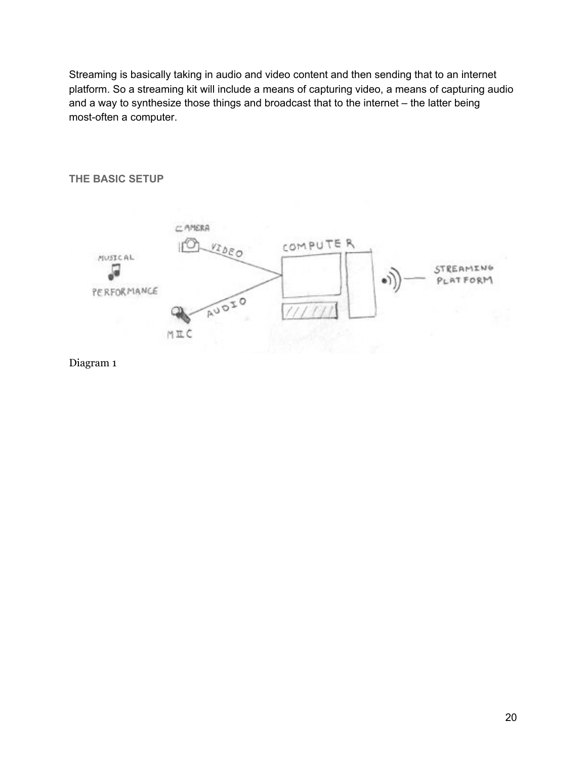Streaming is basically taking in audio and video content and then sending that to an internet platform. So a streaming kit will include a means of capturing video, a means of capturing audio and a way to synthesize those things and broadcast that to the internet – the latter being most-often a computer.



Diagram 1

# <span id="page-19-0"></span>**THE BASIC SETUP**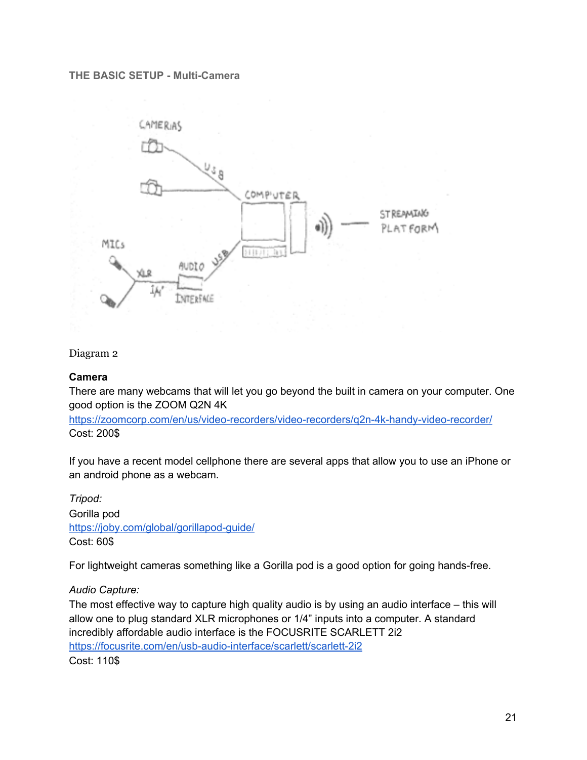#### **THE BASIC SETUP - Multi-Camera**



#### Diagram 2

#### **Camera**

There are many webcams that will let you go beyond the built in camera on your computer. One good option is the ZOOM Q2N 4K

<https://zoomcorp.com/en/us/video-recorders/video-recorders/q2n-4k-handy-video-recorder/> Cost: 200\$

If you have a recent model cellphone there are several apps that allow you to use an iPhone or an android phone as a webcam.

*Tripod:* Gorilla pod <https://joby.com/global/gorillapod-guide/> Cost: 60\$

For lightweight cameras something like a Gorilla pod is a good option for going hands-free.

*Audio Capture:*

The most effective way to capture high quality audio is by using an audio interface – this will allow one to plug standard XLR microphones or 1/4" inputs into a computer. A standard incredibly affordable audio interface is the FOCUSRITE SCARLETT 2i2 <https://focusrite.com/en/usb-audio-interface/scarlett/scarlett-2i2> Cost: 110\$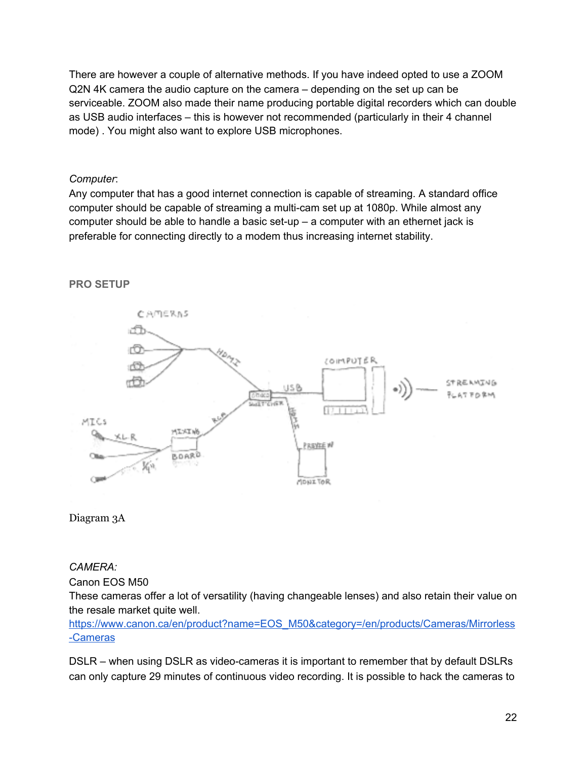There are however a couple of alternative methods. If you have indeed opted to use a ZOOM Q2N 4K camera the audio capture on the camera – depending on the set up can be serviceable. ZOOM also made their name producing portable digital recorders which can double as USB audio interfaces – this is however not recommended (particularly in their 4 channel mode) . You might also want to explore USB microphones.

### *Computer*:

Any computer that has a good internet connection is capable of streaming. A standard office computer should be capable of streaming a multi-cam set up at 1080p. While almost any computer should be able to handle a basic set-up – a computer with an ethernet jack is preferable for connecting directly to a modem thus increasing internet stability.

### <span id="page-21-0"></span>**PRO SETUP**





#### *CAMERA:*

Canon EOS M50

These cameras offer a lot of versatility (having changeable lenses) and also retain their value on the resale market quite well.

[https://www.canon.ca/en/product?name=EOS\\_M50&category=/en/products/Cameras/Mirrorless](https://www.canon.ca/en/product?name=EOS_M50&category=/en/products/Cameras/Mirrorless-Cameras) [-Cameras](https://www.canon.ca/en/product?name=EOS_M50&category=/en/products/Cameras/Mirrorless-Cameras)

DSLR – when using DSLR as video-cameras it is important to remember that by default DSLRs can only capture 29 minutes of continuous video recording. It is possible to hack the cameras to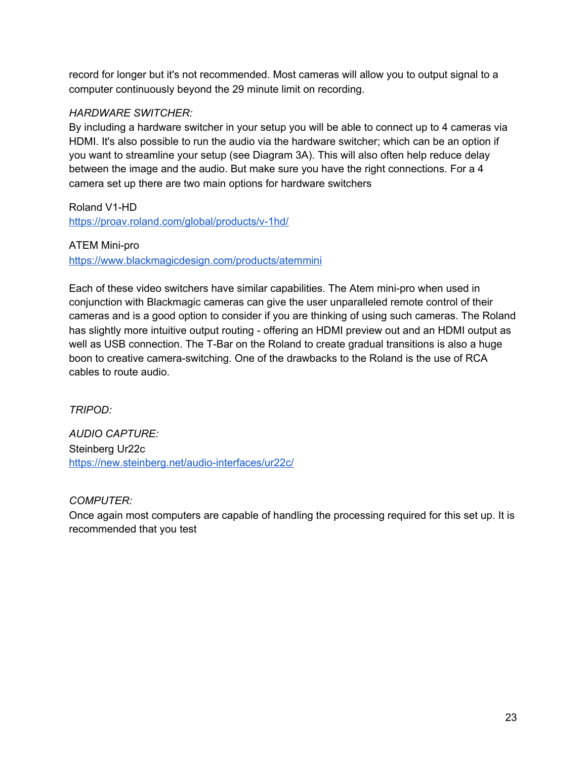record for longer but it's not recommended. Most cameras will allow you to output signal to a computer continuously beyond the 29 minute limit on recording.

# *HARDWARE SWITCHER:*

By including a hardware switcher in your setup you will be able to connect up to 4 cameras via HDMI. It's also possible to run the audio via the hardware switcher; which can be an option if you want to streamline your setup (see Diagram 3A). This will also often help reduce delay between the image and the audio. But make sure you have the right connections. For a 4 camera set up there are two main options for hardware switchers

Roland V1-HD

<https://proav.roland.com/global/products/v-1hd/>

ATEM Mini-pro

<https://www.blackmagicdesign.com/products/atemmini>

Each of these video switchers have similar capabilities. The Atem mini-pro when used in conjunction with Blackmagic cameras can give the user unparalleled remote control of their cameras and is a good option to consider if you are thinking of using such cameras. The Roland has slightly more intuitive output routing - offering an HDMI preview out and an HDMI output as well as USB connection. The T-Bar on the Roland to create gradual transitions is also a huge boon to creative camera-switching. One of the drawbacks to the Roland is the use of RCA cables to route audio.

*TRIPOD:*

*AUDIO CAPTURE:* Steinberg Ur22c <https://new.steinberg.net/audio-interfaces/ur22c/>

*COMPUTER:*

Once again most computers are capable of handling the processing required for this set up. It is recommended that you test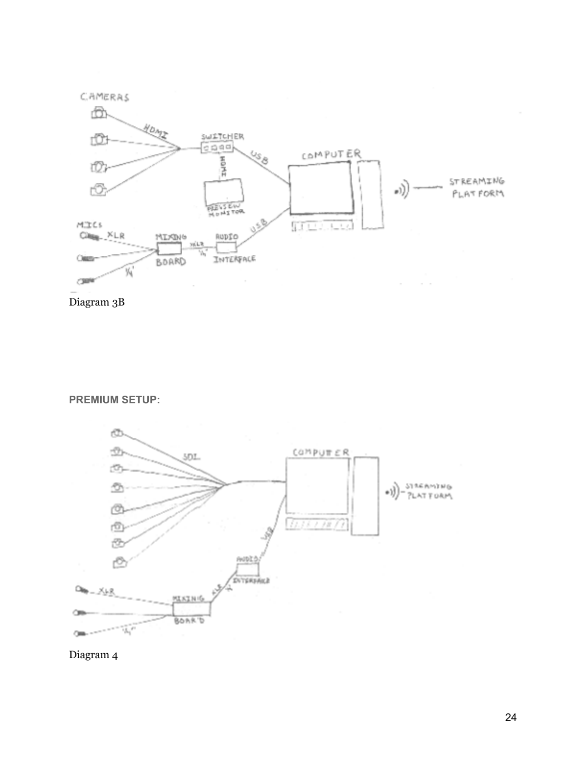



<span id="page-23-0"></span>**PREMIUM SETUP:**



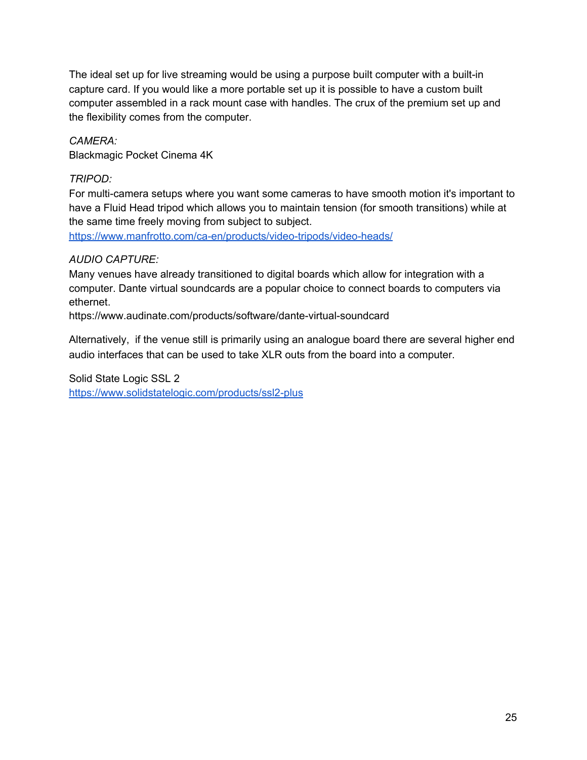The ideal set up for live streaming would be using a purpose built computer with a built-in capture card. If you would like a more portable set up it is possible to have a custom built computer assembled in a rack mount case with handles. The crux of the premium set up and the flexibility comes from the computer.

# *CAMERA:*

Blackmagic Pocket Cinema 4K

# *TRIPOD:*

For multi-camera setups where you want some cameras to have smooth motion it's important to have a Fluid Head tripod which allows you to maintain tension (for smooth transitions) while at the same time freely moving from subject to subject.

<https://www.manfrotto.com/ca-en/products/video-tripods/video-heads/>

# *AUDIO CAPTURE:*

Many venues have already transitioned to digital boards which allow for integration with a computer. Dante virtual soundcards are a popular choice to connect boards to computers via ethernet.

https://www.audinate.com/products/software/dante-virtual-soundcard

Alternatively, if the venue still is primarily using an analogue board there are several higher end audio interfaces that can be used to take XLR outs from the board into a computer.

Solid State Logic SSL 2 <https://www.solidstatelogic.com/products/ssl2-plus>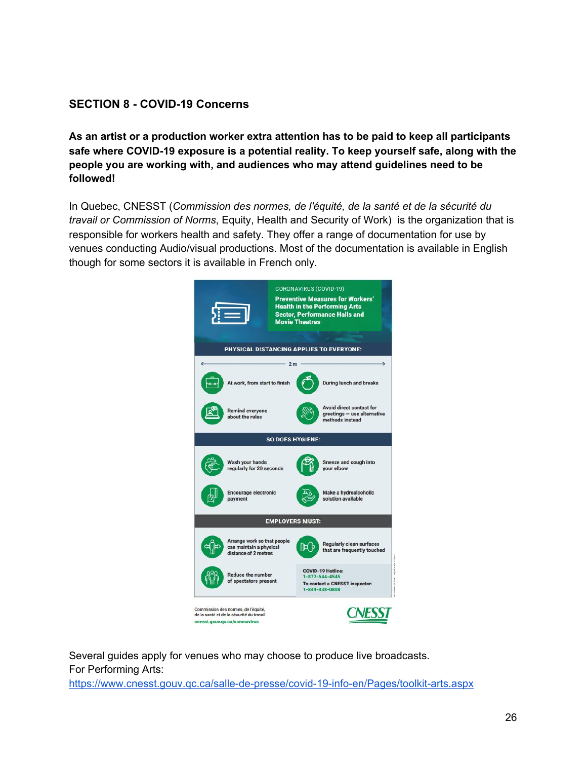# <span id="page-25-0"></span>**SECTION 8 - COVID-19 Concerns**

**As an artist or a production worker extra attention has to be paid to keep all participants safe where COVID-19 exposure is a potential reality. To keep yourself safe, along with the people you are working with, and audiences who may attend guidelines need to be followed!**

In Quebec, CNESST (*Commission des normes, de l'équité, de la santé et de la sécurité du travail or Commission of Norms*, Equity, Health and Security of Work) is the organization that is responsible for workers health and safety. They offer a range of documentation for use by venues conducting Audio/visual productions. Most of the documentation is available in English though for some sectors it is available in French only.



Several guides apply for venues who may choose to produce live broadcasts. For Performing Arts:

<https://www.cnesst.gouv.qc.ca/salle-de-presse/covid-19-info-en/Pages/toolkit-arts.aspx>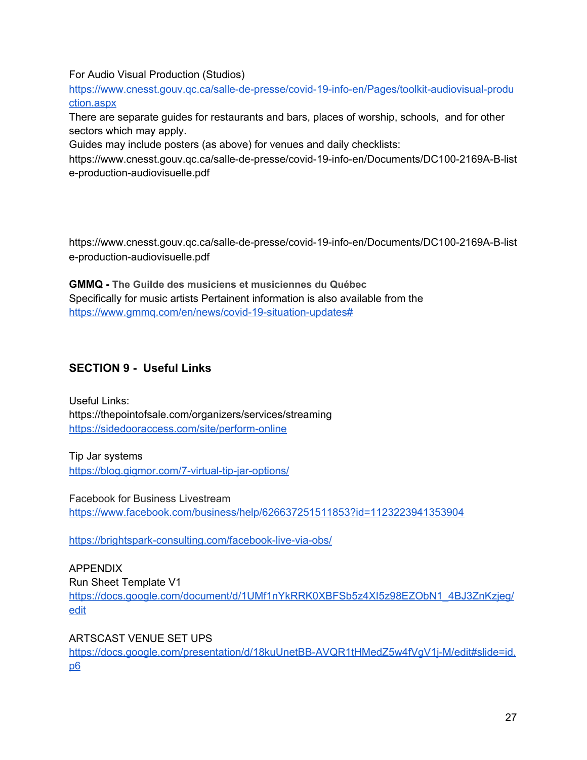For Audio Visual Production (Studios)

[https://www.cnesst.gouv.qc.ca/salle-de-presse/covid-19-info-en/Pages/toolkit-audiovisual-produ](https://www.cnesst.gouv.qc.ca/salle-de-presse/covid-19-info-en/Pages/toolkit-audiovisual-production.aspx) [ction.aspx](https://www.cnesst.gouv.qc.ca/salle-de-presse/covid-19-info-en/Pages/toolkit-audiovisual-production.aspx)

There are separate guides for restaurants and bars, places of worship, schools, and for other sectors which may apply.

Guides may include posters (as above) for venues and daily checklists:

https://www.cnesst.gouv.qc.ca/salle-de-presse/covid-19-info-en/Documents/DC100-2169A-B-list e-production-audiovisuelle.pdf

https://www.cnesst.gouv.qc.ca/salle-de-presse/covid-19-info-en/Documents/DC100-2169A-B-list e-production-audiovisuelle.pdf

**GMMQ - The Guilde des musiciens et musiciennes du Québec** Specifically for music artists Pertainent information is also available from the <https://www.gmmq.com/en/news/covid-19-situation-updates#>

# <span id="page-26-0"></span>**SECTION 9 - Useful Links**

Useful Links: https://thepointofsale.com/organizers/services/streaming <https://sidedooraccess.com/site/perform-online>

Tip Jar systems <https://blog.gigmor.com/7-virtual-tip-jar-options/>

Facebook for Business Livestream <https://www.facebook.com/business/help/626637251511853?id=1123223941353904>

<https://brightspark-consulting.com/facebook-live-via-obs/>

APPENDIX Run Sheet Template V1 [https://docs.google.com/document/d/1UMf1nYkRRK0XBFSb5z4XI5z98EZObN1\\_4BJ3ZnKzjeg/](https://docs.google.com/document/d/1UMf1nYkRRK0XBFSb5z4XI5z98EZObN1_4BJ3ZnKzjeg/edit) [edit](https://docs.google.com/document/d/1UMf1nYkRRK0XBFSb5z4XI5z98EZObN1_4BJ3ZnKzjeg/edit)

ARTSCAST VENUE SET UPS

[https://docs.google.com/presentation/d/18kuUnetBB-AVQR1tHMedZ5w4fVgV1j-M/edit#slide=id.](https://docs.google.com/presentation/d/18kuUnetBB-AVQR1tHMedZ5w4fVgV1j-M/edit#slide=id.p6) [p6](https://docs.google.com/presentation/d/18kuUnetBB-AVQR1tHMedZ5w4fVgV1j-M/edit#slide=id.p6)